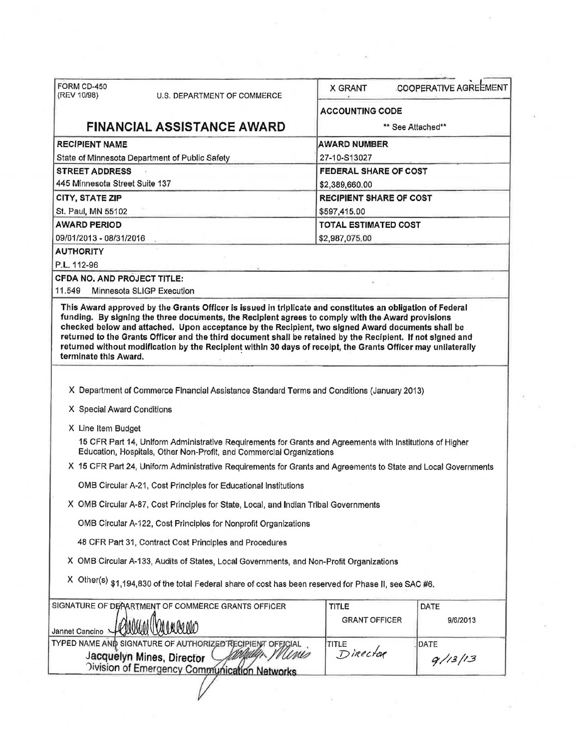| FORM CD-450                        |                                                                                                                                                                                   |                                                                   |                              |  |  |
|------------------------------------|-----------------------------------------------------------------------------------------------------------------------------------------------------------------------------------|-------------------------------------------------------------------|------------------------------|--|--|
| (REV 10/98)                        | U.S. DEPARTMENT OF COMMERCE                                                                                                                                                       | <b>COOPERATIVE AGREEMENT</b><br>X GRANT<br><b>ACCOUNTING CODE</b> |                              |  |  |
|                                    |                                                                                                                                                                                   |                                                                   |                              |  |  |
|                                    | <b>FINANCIAL ASSISTANCE AWARD</b>                                                                                                                                                 |                                                                   | ** See Attached**            |  |  |
| <b>RECIPIENT NAME</b>              |                                                                                                                                                                                   | <b>AWARD NUMBER</b>                                               |                              |  |  |
|                                    | State of Minnesota Department of Public Safety                                                                                                                                    | 27-10-S13027                                                      |                              |  |  |
| <b>STREET ADDRESS</b>              |                                                                                                                                                                                   |                                                                   | <b>FEDERAL SHARE OF COST</b> |  |  |
| 445 Minnesota Street Suite 137     |                                                                                                                                                                                   | \$2,389,660.00                                                    |                              |  |  |
| CITY, STATE ZIP                    |                                                                                                                                                                                   | <b>RECIPIENT SHARE OF COST</b>                                    |                              |  |  |
| St. Paul, MN 55102                 |                                                                                                                                                                                   | \$597,415.00                                                      |                              |  |  |
| <b>AWARD PERIOD</b>                |                                                                                                                                                                                   | <b>TOTAL ESTIMATED COST</b>                                       |                              |  |  |
| 09/01/2013 - 08/31/2016            |                                                                                                                                                                                   | \$2,987,075.00                                                    |                              |  |  |
| <b>AUTHORITY</b>                   |                                                                                                                                                                                   |                                                                   |                              |  |  |
| P.L. 112-96                        |                                                                                                                                                                                   |                                                                   |                              |  |  |
| <b>CFDA NO, AND PROJECT TITLE:</b> |                                                                                                                                                                                   |                                                                   |                              |  |  |
| 11,549                             | Minnesota SLIGP Execution                                                                                                                                                         |                                                                   |                              |  |  |
| terminate this Award.              | returned without modification by the Recipient within 30 days of receipt, the Grants Officer may unilaterally                                                                     |                                                                   |                              |  |  |
|                                    |                                                                                                                                                                                   |                                                                   |                              |  |  |
|                                    | X Department of Commerce Financial Assistance Standard Terms and Conditions (January 2013)                                                                                        |                                                                   |                              |  |  |
| X Special Award Conditions         |                                                                                                                                                                                   |                                                                   |                              |  |  |
| X Line Item Budget                 |                                                                                                                                                                                   |                                                                   |                              |  |  |
|                                    | 15 CFR Part 14, Uniform Administrative Requirements for Grants and Agreements with Institutions of Higher<br>Education, Hospitals, Other Non-Profit, and Commercial Organizations |                                                                   |                              |  |  |
|                                    | X 15 CFR Part 24, Uniform Administrative Requirements for Grants and Agreements to State and Local Governments                                                                    |                                                                   |                              |  |  |
|                                    | OMB Circular A-21, Cost Principles for Educational Institutions                                                                                                                   |                                                                   |                              |  |  |
|                                    | X OMB Circular A-87, Cost Principles for State, Local, and Indian Tribal Governments                                                                                              |                                                                   |                              |  |  |
|                                    | OMB Circular A-122, Cost Principles for Nonprofit Organizations                                                                                                                   |                                                                   |                              |  |  |
|                                    | 48 CFR Part 31, Contract Cost Principles and Procedures                                                                                                                           |                                                                   |                              |  |  |
|                                    | X OMB Circular A-133, Audits of States, Local Governments, and Non-Profit Organizations                                                                                           |                                                                   |                              |  |  |
|                                    | X Other(s) \$1,194,830 of the total Federal share of cost has been reserved for Phase II, see SAC #6.                                                                             |                                                                   |                              |  |  |
|                                    | SIGNATURE OF DEPARTMENT OF COMMERCE GRANTS OFFICER                                                                                                                                | TITLE                                                             | DATE                         |  |  |
|                                    |                                                                                                                                                                                   | <b>GRANT OFFICER</b>                                              | 9/6/2013                     |  |  |
|                                    | 10 M MO                                                                                                                                                                           |                                                                   |                              |  |  |
|                                    | TYPED NAME AND SIGNATURE OF AUTHORIZED RECIPIENT OFFICIAL                                                                                                                         | TITLE                                                             | DATE                         |  |  |
| Jannet Cancino                     | inis<br>Jacquelyn Mines, Director                                                                                                                                                 | Director                                                          | 9/13/13                      |  |  |
|                                    | Oivision of Emergency Communication Networks                                                                                                                                      |                                                                   |                              |  |  |

 $\alpha$  .

 $\frac{1}{2}$  ,  $\frac{1}{2}$ 

 $\tilde{\mathcal{A}}$  .